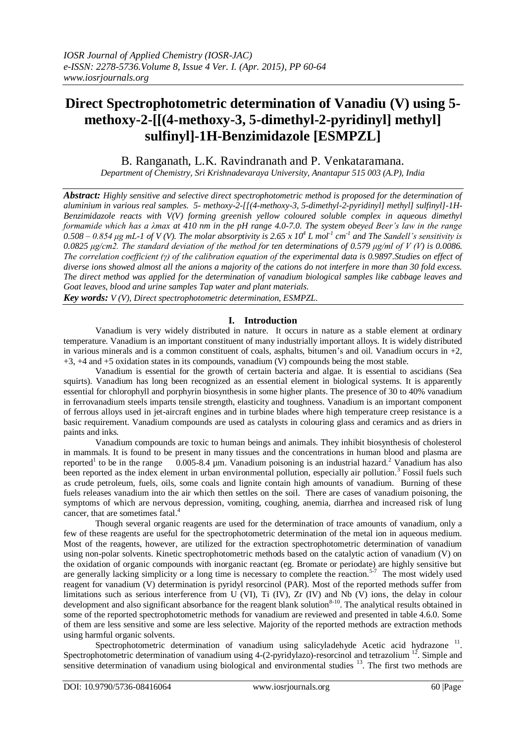# **Direct Spectrophotometric determination of Vanadiu (V) using 5 methoxy-2-[[(4-methoxy-3, 5-dimethyl-2-pyridinyl] methyl] sulfinyl]-1H-Benzimidazole [ESMPZL]**

B. Ranganath, L.K. Ravindranath and P. Venkataramana.

*Department of Chemistry, Sri Krishnadevaraya University, Anantapur 515 003 (A.P), India*

*Abstract: Highly sensitive and selective direct spectrophotometric method is proposed for the determination of aluminium in various real samples. 5- methoxy-2-[[(4-methoxy-3, 5-dimethyl-2-pyridinyl] methyl] sulfinyl]-1H-Benzimidazole reacts with V(V) forming greenish yellow coloured soluble complex in aqueous dimethyl formamide which has a λmax at 410 nm in the pH range 4.0-7.0. The system obeyed Beer's law in the range*   $0.508 - 0.854$   $\mu$ g mL-1 of V (V). The molar absorptivity is 2.65 x  $10^4$  L mol<sup>1</sup> cm<sup>-1</sup> and The Sandell's sensitivity is *0.0825 μg/cm2. The standard deviation of the method for ten determinations of 0.579 μg/ml of V (V) is 0.0086. The correlation coefficient (γ) of the calibration equation of the experimental data is 0.9897.Studies on effect of diverse ions showed almost all the anions a majority of the cations do not interfere in more than 30 fold excess. The direct method was applied for the determination of vanadium biological samples like cabbage leaves and Goat leaves, blood and urine samples Tap water and plant materials.*

*Key words: V (V), Direct spectrophotometric determination, ESMPZL.*

## **I. Introduction**

Vanadium is very widely distributed in nature. It occurs in nature as a stable element at ordinary temperature. Vanadium is an important constituent of many industrially important alloys. It is widely distributed in various minerals and is a common constituent of coals, asphalts, bitumen's and oil. Vanadium occurs in  $+2$ , +3, +4 and +5 oxidation states in its compounds, vanadium (V) compounds being the most stable.

Vanadium is essential for the growth of certain bacteria and algae. It is essential to ascidians (Sea squirts). Vanadium has long been recognized as an essential element in biological systems. It is apparently essential for chlorophyll and porphyrin biosynthesis in some higher plants. The presence of 30 to 40% vanadium in ferrovanadium steels imparts tensile strength, elasticity and toughness. Vanadium is an important component of ferrous alloys used in jet-aircraft engines and in turbine blades where high temperature creep resistance is a basic requirement. Vanadium compounds are used as catalysts in colouring glass and ceramics and as driers in paints and inks.

Vanadium compounds are toxic to human beings and animals. They inhibit biosynthesis of cholesterol in mammals. It is found to be present in many tissues and the concentrations in human blood and plasma are reported<sup>1</sup> to be in the range 0.005-8.4 um. Vanadium poisoning is an industrial hazard.<sup>2</sup> Vanadium has also been reported as the index element in urban environmental pollution, especially air pollution.<sup>3</sup> Fossil fuels such as crude petroleum, fuels, oils, some coals and lignite contain high amounts of vanadium. Burning of these fuels releases vanadium into the air which then settles on the soil. There are cases of vanadium poisoning, the symptoms of which are nervous depression, vomiting, coughing, anemia, diarrhea and increased risk of lung cancer, that are sometimes fatal.<sup>4</sup>

Though several organic reagents are used for the determination of trace amounts of vanadium, only a few of these reagents are useful for the spectrophotometric determination of the metal ion in aqueous medium. Most of the reagents, however, are utilized for the extraction spectrophotometric determination of vanadium using non-polar solvents. Kinetic spectrophotometric methods based on the catalytic action of vanadium (V) on the oxidation of organic compounds with inorganic reactant (eg. Bromate or periodate) are highly sensitive but are generally lacking simplicity or a long time is necessary to complete the reaction.<sup>5-7</sup> The most widely used reagent for vanadium (V) determination is pyridyl resorcinol (PAR). Most of the reported methods suffer from limitations such as serious interference from U (VI), Ti (IV),  $Zr$  (IV) and Nb (V) ions, the delay in colour development and also significant absorbance for the reagent blank solution<sup>8-10</sup>. The analytical results obtained in some of the reported spectrophotometric methods for vanadium are reviewed and presented in table 4.6.0. Some of them are less sensitive and some are less selective. Majority of the reported methods are extraction methods using harmful organic solvents.

Spectrophotometric determination of vanadium using salicyladehyde Acetic acid hydrazone<sup>11</sup>. Spectrophotometric determination of vanadium using 4-(2-pyridylazo)-resorcinol and tetrazolium <sup>12</sup>. Simple and sensitive determination of vanadium using biological and environmental studies <sup>13</sup>. The first two methods are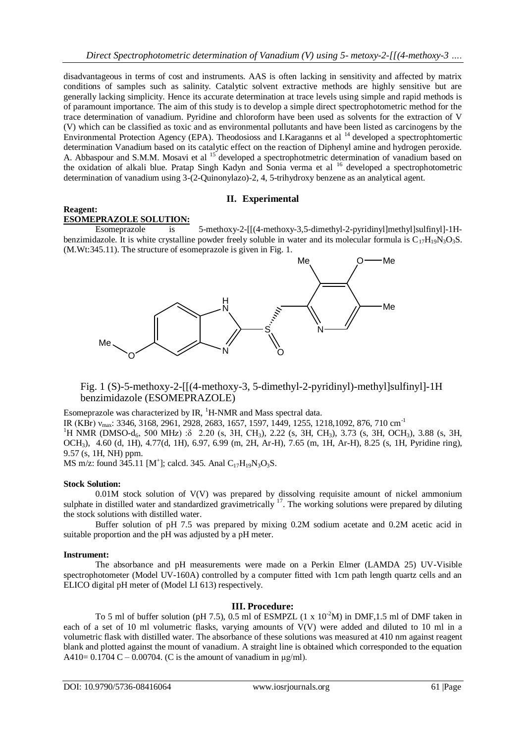disadvantageous in terms of cost and instruments. AAS is often lacking in sensitivity and affected by matrix conditions of samples such as salinity. Catalytic solvent extractive methods are highly sensitive but are generally lacking simplicity. Hence its accurate determination at trace levels using simple and rapid methods is of paramount importance. The aim of this study is to develop a simple direct spectrophotometric method for the trace determination of vanadium. Pyridine and chloroform have been used as solvents for the extraction of V (V) which can be classified as toxic and as environmental pollutants and have been listed as carcinogens by the Environmental Protection Agency (EPA). Theodosioss and I.Karaganns et al <sup>14</sup> developed a spectrophtomertic determination Vanadium based on its catalytic effect on the reaction of Diphenyl amine and hydrogen peroxide. A. Abbaspour and S.M.M. Mosavi et al <sup>15</sup> developed a spectrophotmetric determination of vanadium based on the oxidation of alkali blue. Pratap Singh Kadyn and Sonia verma et al <sup>16</sup> developed a spectrophotometric determination of vanadium using 3-(2-Quinonylazo)-2, 4, 5-trihydroxy benzene as an analytical agent.

## **II. Experimental**

#### **Reagent: ESOMEPRAZOLE SOLUTION:**

Esomeprazole is 5-methoxy-2-[[(4-methoxy-3,5-dimethyl-2-pyridinyl]methyl]sulfinyl]-1Hbenzimidazole. It is white crystalline powder freely soluble in water and its molecular formula is  $C_{17}H_{19}N_3O_3S$ . (M.Wt:345.11). The structure of esomeprazole is given in Fig. 1.



Fig. 1 (S)-5-methoxy-2-[[(4-methoxy-3, 5-dimethyl-2-pyridinyl)-methyl]sulfinyl]-1H benzimidazole (ESOMEPRAZOLE)

Esomeprazole was characterized by IR,  ${}^{1}$ H-NMR and Mass spectral data.

IR (KBr) ν<sub>max</sub>: 3346, 3168, 2961, 2928, 2683, 1657, 1597, 1449, 1255, 1218,1092, 876, 710 cm<sup>-1</sup>

<sup>1</sup>H NMR (DMSO-d<sub>6</sub>, 500 MHz) : $\delta$  2.20 (s, 3H, CH<sub>3</sub>), 2.22 (s, 3H, CH<sub>3</sub>), 3.73 (s, 3H, OCH<sub>3</sub>), 3.88 (s, 3H, OCH3), 4.60 (d, 1H), 4.77(d, 1H), 6.97, 6.99 (m, 2H, Ar-H), 7.65 (m, 1H, Ar-H), 8.25 (s, 1H, Pyridine ring), 9.57 (s, 1H, NH) ppm.

MS m/z: found  $345.11$  [M<sup>+</sup>]; calcd. 345. Anal C<sub>17</sub>H<sub>19</sub>N<sub>3</sub>O<sub>3</sub>S.

## **Stock Solution:**

 $0.01M$  stock solution of  $V(V)$  was prepared by dissolving requisite amount of nickel ammonium sulphate in distilled water and standardized gravimetrically <sup>17</sup>. The working solutions were prepared by diluting the stock solutions with distilled water.

Buffer solution of pH 7.5 was prepared by mixing 0.2M sodium acetate and 0.2M acetic acid in suitable proportion and the pH was adjusted by a pH meter.

## **Instrument:**

The absorbance and pH measurements were made on a Perkin Elmer (LAMDA 25) UV-Visible spectrophotometer (Model UV-160A) controlled by a computer fitted with 1cm path length quartz cells and an ELICO digital pH meter of (Model LI 613) respectively.

## **III. Procedure:**

To 5 ml of buffer solution (pH 7.5), 0.5 ml of ESMPZL  $(1 \times 10^{-2}M)$  in DMF,1.5 ml of DMF taken in each of a set of 10 ml volumetric flasks, varying amounts of V(V) were added and diluted to 10 ml in a volumetric flask with distilled water. The absorbance of these solutions was measured at 410 nm against reagent blank and plotted against the mount of vanadium. A straight line is obtained which corresponded to the equation A410=  $0.1704$  C –  $0.00704$ . (C is the amount of vanadium in  $\mu$ g/ml).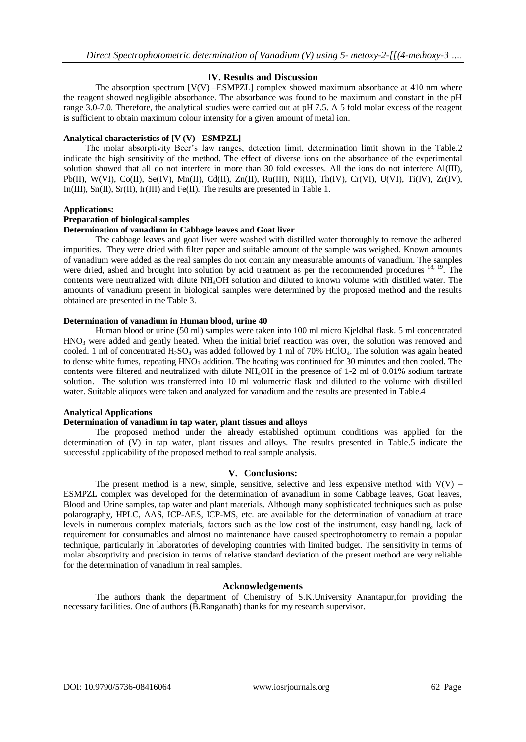## **IV. Results and Discussion**

The absorption spectrum [V(V) –ESMPZL] complex showed maximum absorbance at 410 nm where the reagent showed negligible absorbance. The absorbance was found to be maximum and constant in the pH range 3.0-7.0. Therefore, the analytical studies were carried out at pH 7.5. A 5 fold molar excess of the reagent is sufficient to obtain maximum colour intensity for a given amount of metal ion.

#### **Analytical characteristics of [V (V) –ESMPZL]**

 The molar absorptivity Beer's law ranges, detection limit, determination limit shown in the Table.2 indicate the high sensitivity of the method. The effect of diverse ions on the absorbance of the experimental solution showed that all do not interfere in more than 30 fold excesses. All the ions do not interfere Al(III), Pb(II), W(VI), Co(II), Se(IV), Mn(II), Cd(II), Zn(II), Ru(III), Ni(II), Th(IV), Cr(VI), U(VI), Ti(IV), Zr(IV), In(III), Sn(II), Sr(II), Ir(III) and Fe(II). The results are presented in Table 1.

#### **Applications:**

## **Preparation of biological samples**

#### **Determination of vanadium in Cabbage leaves and Goat liver**

The cabbage leaves and goat liver were washed with distilled water thoroughly to remove the adhered impurities. They were dried with filter paper and suitable amount of the sample was weighed. Known amounts of vanadium were added as the real samples do not contain any measurable amounts of vanadium. The samples were dried, ashed and brought into solution by acid treatment as per the recommended procedures <sup>18, 19</sup>. The contents were neutralized with dilute NH4OH solution and diluted to known volume with distilled water. The amounts of vanadium present in biological samples were determined by the proposed method and the results obtained are presented in the Table 3.

#### **Determination of vanadium in Human blood, urine 40**

Human blood or urine (50 ml) samples were taken into 100 ml micro Kjeldhal flask. 5 ml concentrated  $HNO<sub>3</sub>$  were added and gently heated. When the initial brief reaction was over, the solution was removed and cooled. 1 ml of concentrated  $H_2SO_4$  was added followed by 1 ml of 70% HClO<sub>4</sub>. The solution was again heated to dense white fumes, repeating  $HNO<sub>3</sub>$  addition. The heating was continued for 30 minutes and then cooled. The contents were filtered and neutralized with dilute NH4OH in the presence of 1-2 ml of 0.01% sodium tartrate solution. The solution was transferred into 10 ml volumetric flask and diluted to the volume with distilled water. Suitable aliquots were taken and analyzed for vanadium and the results are presented in Table.4

#### **Analytical Applications**

#### **Determination of vanadium in tap water, plant tissues and alloys**

The proposed method under the already established optimum conditions was applied for the determination of (V) in tap water, plant tissues and alloys. The results presented in Table.5 indicate the successful applicability of the proposed method to real sample analysis.

## **V. Conclusions:**

The present method is a new, simple, sensitive, selective and less expensive method with  $V(V)$  – ESMPZL complex was developed for the determination of avanadium in some Cabbage leaves, Goat leaves, Blood and Urine samples, tap water and plant materials. Although many sophisticated techniques such as pulse polarography, HPLC, AAS, ICP-AES, ICP-MS, etc. are available for the determination of vanadium at trace levels in numerous complex materials, factors such as the low cost of the instrument, easy handling, lack of requirement for consumables and almost no maintenance have caused spectrophotometry to remain a popular technique, particularly in laboratories of developing countries with limited budget. The sensitivity in terms of molar absorptivity and precision in terms of relative standard deviation of the present method are very reliable for the determination of vanadium in real samples.

#### **Acknowledgements**

The authors thank the department of Chemistry of S.K.University Anantapur,for providing the necessary facilities. One of authors (B.Ranganath) thanks for my research supervisor.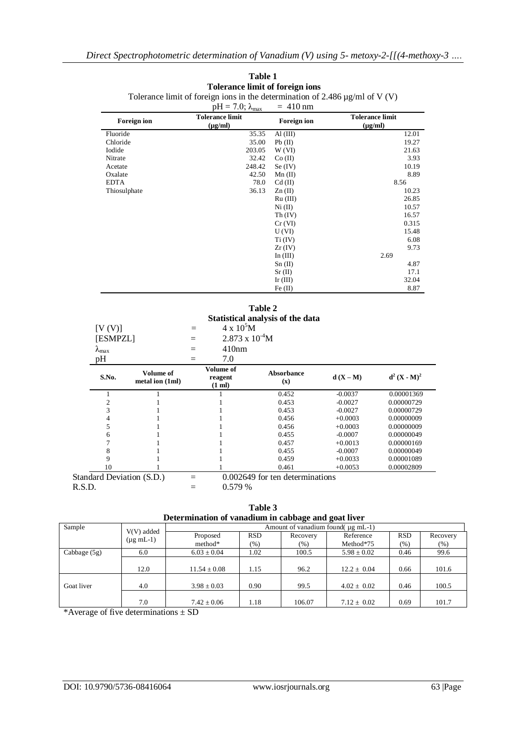|                                       | <b>Foreign ion</b>                  |                        | $pH = 7.0$ ; $\lambda_{max}$<br><b>Tolerance limit</b><br>$(\mu g/ml)$ | <b>Foreign ion</b>              | <b>Tolerance limit</b><br>$(\mu g/ml)$ |                                                                                  |  |
|---------------------------------------|-------------------------------------|------------------------|------------------------------------------------------------------------|---------------------------------|----------------------------------------|----------------------------------------------------------------------------------|--|
| Fluoride                              |                                     |                        | 35.35                                                                  | AI(III)                         |                                        | 12.01                                                                            |  |
| Chloride                              |                                     |                        | 35.00                                                                  | Pb(II)                          |                                        | 19.27                                                                            |  |
| Iodide                                |                                     |                        | 203.05                                                                 | W(VI)                           |                                        | 21.63                                                                            |  |
| Nitrate                               |                                     |                        | 32.42                                                                  | Co (II)                         |                                        | 3.93                                                                             |  |
| Acetate                               |                                     |                        | 248.42                                                                 | Se $(IV)$                       |                                        | 10.19                                                                            |  |
| Oxalate                               |                                     |                        | 42.50                                                                  | $Mn$ (II)                       |                                        | 8.89                                                                             |  |
| <b>EDTA</b><br>Thiosulphate           |                                     |                        | 78.0                                                                   | $Cd$ (II)                       | 8.56                                   |                                                                                  |  |
|                                       |                                     |                        | 36.13                                                                  | Zn(II)                          |                                        | 10.23                                                                            |  |
|                                       |                                     |                        |                                                                        | Ru (III)                        |                                        | 26.85                                                                            |  |
|                                       |                                     |                        |                                                                        | Ni (II)                         |                                        | 10.57                                                                            |  |
|                                       |                                     |                        |                                                                        | Th (IV)                         |                                        | 16.57                                                                            |  |
|                                       |                                     |                        |                                                                        | $Cr$ (VI)                       |                                        | 0.315                                                                            |  |
|                                       |                                     |                        |                                                                        | U(VI)                           |                                        | 15.48                                                                            |  |
|                                       |                                     |                        |                                                                        | Ti (IV)                         |                                        | 6.08                                                                             |  |
|                                       |                                     |                        |                                                                        | $Zr$ (IV)                       |                                        | 9.73                                                                             |  |
|                                       |                                     |                        |                                                                        | In $(III)$                      |                                        | 2.69                                                                             |  |
|                                       |                                     |                        |                                                                        | $Sn$ (II)                       |                                        | 4.87                                                                             |  |
|                                       |                                     |                        |                                                                        | Sr(II)                          |                                        | 17.1                                                                             |  |
|                                       |                                     |                        |                                                                        | Ir $(III)$                      |                                        | 32.04                                                                            |  |
|                                       |                                     |                        |                                                                        | Fe $(II)$                       |                                        | 8.87                                                                             |  |
| [V(V)]<br>[ESMPZL]<br>$\lambda_{max}$ |                                     | $\equiv$<br>$=$<br>$=$ | $4 \times 10^5 M$<br>$2.873 \times 10^{-4}$ M<br>410nm                 |                                 |                                        |                                                                                  |  |
|                                       |                                     |                        |                                                                        |                                 |                                        |                                                                                  |  |
| pH                                    |                                     | $=$                    | 7.0                                                                    |                                 |                                        |                                                                                  |  |
| S.No.                                 | <b>Volume of</b><br>metal ion (1ml) |                        | Volume of<br>reagent<br>(1 ml)                                         | <b>Absorbance</b><br>(x)        | $d(X-M)$                               |                                                                                  |  |
| $\mathbf{1}$                          | $\mathbf{1}$                        |                        | $\mathbf{1}$                                                           | 0.452                           | $-0.0037$                              | $d^2$ (X - M) <sup>2</sup><br>0.00001369                                         |  |
| $\overline{2}$                        | $\mathbf{1}$                        |                        | $\mathbf{1}$                                                           | 0.453                           | $-0.0027$                              | 0.00000729                                                                       |  |
| 3                                     | $\mathbf{1}$                        |                        | $\mathbf{1}$                                                           | 0.453                           | $-0.0027$                              |                                                                                  |  |
| $\overline{4}$                        | $\mathbf{1}$                        |                        | $\mathbf{1}$                                                           | 0.456                           | $+0.0003$                              |                                                                                  |  |
| 5                                     | $\mathbf{1}$                        |                        | $\mathbf{1}$                                                           | 0.456                           | $+0.0003$                              |                                                                                  |  |
| 6                                     | $\mathbf{1}$                        |                        | $\mathbf{1}$                                                           | 0.455                           | $-0.0007$                              |                                                                                  |  |
| $\overline{7}$                        | $\mathbf{1}$                        |                        | $\,1$                                                                  | 0.457                           | $+0.0013$                              |                                                                                  |  |
| 8                                     | $\mathbf{1}$                        |                        | $\mathbf{1}$                                                           | 0.455                           | $-0.0007$                              | 0.00000729<br>0.00000009<br>0.00000009<br>0.00000049<br>0.00000169<br>0.00000049 |  |
| 9                                     | $\mathbf{1}$                        |                        | $\mathbf{1}$                                                           | 0.459                           | $+0.0033$                              | 0.00001089                                                                       |  |
| 10                                    | 1                                   |                        | 1                                                                      | 0.461                           | $+0.0053$                              | 0.00002809                                                                       |  |
|                                       | Standard Deviation (S.D.)           | $=$                    |                                                                        | 0.002649 for ten determinations |                                        |                                                                                  |  |

#### **Table 1 Tolerance limit of foreign ions** Tolerance limit of foreign ions in the determination of 2.486 µg/ml of V (V)

| Table 3                                             |  |  |  |  |  |
|-----------------------------------------------------|--|--|--|--|--|
| Determination of vanadium in cabbage and goat liver |  |  |  |  |  |

| Determination or vanautum in cabbage and goat nyer |                                        |                                    |            |          |                 |            |          |  |
|----------------------------------------------------|----------------------------------------|------------------------------------|------------|----------|-----------------|------------|----------|--|
| Sample                                             |                                        | Amount of vanadium found (ug mL-1) |            |          |                 |            |          |  |
|                                                    | $V(V)$ added<br>$(\mu g \text{ mL-1})$ | Proposed                           | <b>RSD</b> | Recovery | Reference       | <b>RSD</b> | Recovery |  |
|                                                    |                                        | method*                            | $(\%)$     | (% )     | Method*75       | $(\% )$    | (% )     |  |
| Cabbage $(5g)$                                     | 6.0                                    | $6.03 \pm 0.04$                    | 1.02       | 100.5    | $5.98 \pm 0.02$ | 0.46       | 99.6     |  |
|                                                    |                                        |                                    |            |          |                 |            |          |  |
|                                                    | 12.0                                   | $11.54 \pm 0.08$                   | 1.15       | 96.2     | $12.2 \pm 0.04$ | 0.66       | 101.6    |  |
|                                                    |                                        |                                    |            |          |                 |            |          |  |
| Goat liver                                         | 4.0                                    | $3.98 \pm 0.03$                    | 0.90       | 99.5     | $4.02 \pm 0.02$ | 0.46       | 100.5    |  |
|                                                    |                                        |                                    |            |          |                 |            |          |  |
|                                                    | 7.0                                    | $7.42 \pm 0.06$                    | 1.18       | 106.07   | $7.12 \pm 0.02$ | 0.69       | 101.7    |  |

\*Average of five determinations  $\pm$  SD